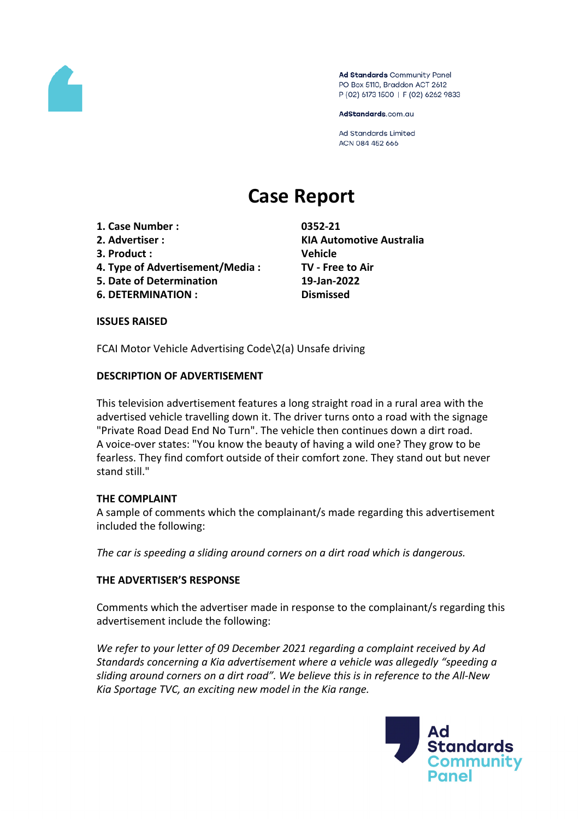

Ad Standards Community Panel PO Box 5110, Braddon ACT 2612 P (02) 6173 1500 | F (02) 6262 9833

AdStandards.com.au

**Ad Standards Limited** ACN 084 452 666

# **Case Report**

- **1. Case Number : 0352-21**
- 
- **3. Product : Vehicle**
- **4. Type of Advertisement/Media : TV - Free to Air**
- **5. Date of Determination 19-Jan-2022**
- **6. DETERMINATION : Dismissed**

**2. Advertiser : KIA Automotive Australia**

## **ISSUES RAISED**

FCAI Motor Vehicle Advertising Code\2(a) Unsafe driving

## **DESCRIPTION OF ADVERTISEMENT**

This television advertisement features a long straight road in a rural area with the advertised vehicle travelling down it. The driver turns onto a road with the signage "Private Road Dead End No Turn". The vehicle then continues down a dirt road. A voice-over states: "You know the beauty of having a wild one? They grow to be fearless. They find comfort outside of their comfort zone. They stand out but never stand still."

## **THE COMPLAINT**

A sample of comments which the complainant/s made regarding this advertisement included the following:

*The car is speeding a sliding around corners on a dirt road which is dangerous.*

## **THE ADVERTISER'S RESPONSE**

Comments which the advertiser made in response to the complainant/s regarding this advertisement include the following:

*We refer to your letter of 09 December 2021 regarding a complaint received by Ad Standards concerning a Kia advertisement where a vehicle was allegedly "speeding a sliding around corners on a dirt road". We believe this is in reference to the All-New Kia Sportage TVC, an exciting new model in the Kia range.*

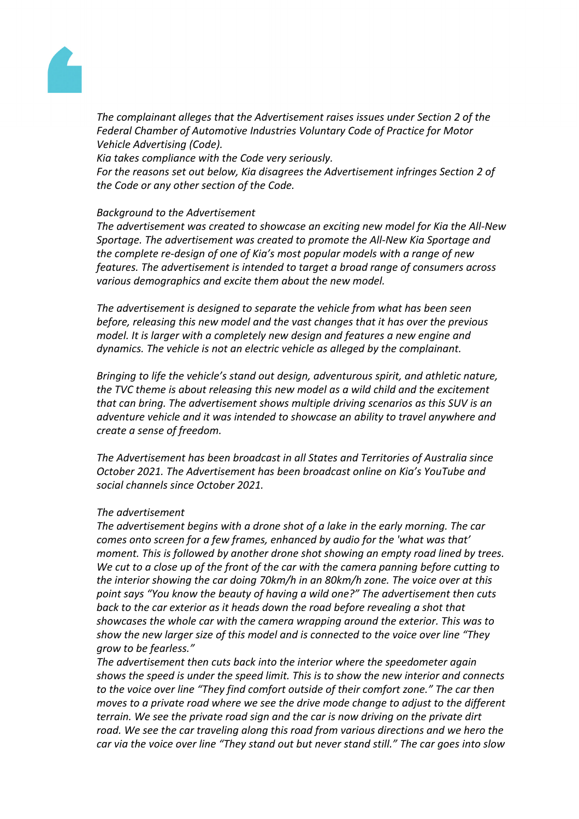

*The complainant alleges that the Advertisement raises issues under Section 2 of the Federal Chamber of Automotive Industries Voluntary Code of Practice for Motor Vehicle Advertising (Code).*

*Kia takes compliance with the Code very seriously.*

*For the reasons set out below, Kia disagrees the Advertisement infringes Section 2 of the Code or any other section of the Code.*

## *Background to the Advertisement*

*The advertisement was created to showcase an exciting new model for Kia the All-New Sportage. The advertisement was created to promote the All-New Kia Sportage and the complete re-design of one of Kia's most popular models with a range of new features. The advertisement is intended to target a broad range of consumers across various demographics and excite them about the new model.*

*The advertisement is designed to separate the vehicle from what has been seen before, releasing this new model and the vast changes that it has over the previous model. It is larger with a completely new design and features a new engine and dynamics. The vehicle is not an electric vehicle as alleged by the complainant.*

*Bringing to life the vehicle's stand out design, adventurous spirit, and athletic nature, the TVC theme is about releasing this new model as a wild child and the excitement that can bring. The advertisement shows multiple driving scenarios as this SUV is an adventure vehicle and it was intended to showcase an ability to travel anywhere and create a sense of freedom.*

*The Advertisement has been broadcast in all States and Territories of Australia since October 2021. The Advertisement has been broadcast online on Kia's YouTube and social channels since October 2021.*

#### *The advertisement*

*The advertisement begins with a drone shot of a lake in the early morning. The car comes onto screen for a few frames, enhanced by audio for the 'what was that' moment. This is followed by another drone shot showing an empty road lined by trees. We cut to a close up of the front of the car with the camera panning before cutting to the interior showing the car doing 70km/h in an 80km/h zone. The voice over at this point says "You know the beauty of having a wild one?" The advertisement then cuts back to the car exterior as it heads down the road before revealing a shot that showcases the whole car with the camera wrapping around the exterior. This was to show the new larger size of this model and is connected to the voice over line "They grow to be fearless."*

*The advertisement then cuts back into the interior where the speedometer again shows the speed is under the speed limit. This is to show the new interior and connects to the voice over line "They find comfort outside of their comfort zone." The car then moves to a private road where we see the drive mode change to adjust to the different terrain. We see the private road sign and the car is now driving on the private dirt road. We see the car traveling along this road from various directions and we hero the car via the voice over line "They stand out but never stand still." The car goes into slow*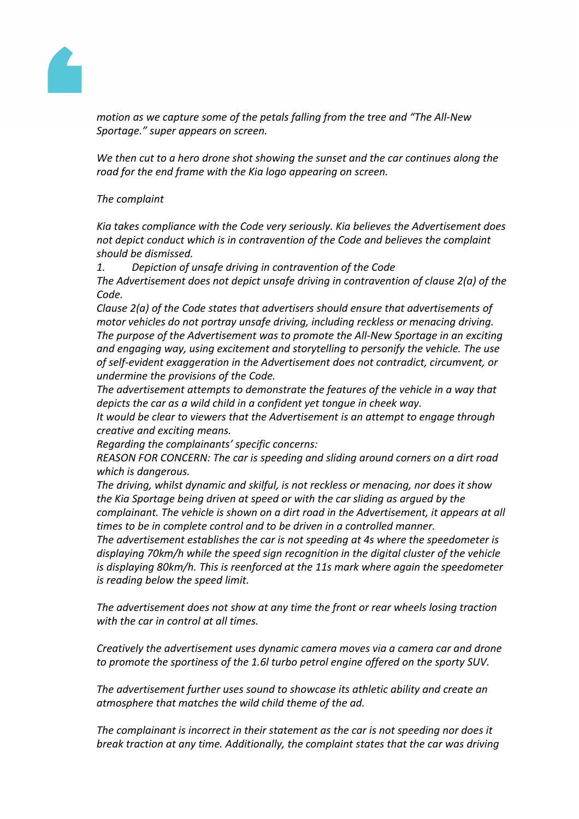

*motion as we capture some of the petals falling from the tree and "The All-New Sportage." super appears on screen.*

*We then cut to a hero drone shot showing the sunset and the car continues along the road for the end frame with the Kia logo appearing on screen.*

## *The complaint*

*Kia takes compliance with the Code very seriously. Kia believes the Advertisement does not depict conduct which is in contravention of the Code and believes the complaint should be dismissed.*

*1. Depiction of unsafe driving in contravention of the Code*

*The Advertisement does not depict unsafe driving in contravention of clause 2(a) of the Code.*

*Clause 2(a) of the Code states that advertisers should ensure that advertisements of motor vehicles do not portray unsafe driving, including reckless or menacing driving. The purpose of the Advertisement was to promote the All-New Sportage in an exciting and engaging way, using excitement and storytelling to personify the vehicle. The use of self-evident exaggeration in the Advertisement does not contradict, circumvent, or undermine the provisions of the Code.*

*The advertisement attempts to demonstrate the features of the vehicle in a way that depicts the car as a wild child in a confident yet tongue in cheek way.*

*It would be clear to viewers that the Advertisement is an attempt to engage through creative and exciting means.*

*Regarding the complainants' specific concerns:*

*REASON FOR CONCERN: The car is speeding and sliding around corners on a dirt road which is dangerous.*

*The driving, whilst dynamic and skilful, is not reckless or menacing, nor does it show the Kia Sportage being driven at speed or with the car sliding as argued by the complainant. The vehicle is shown on a dirt road in the Advertisement, it appears at all times to be in complete control and to be driven in a controlled manner.*

*The advertisement establishes the car is not speeding at 4s where the speedometer is displaying 70km/h while the speed sign recognition in the digital cluster of the vehicle is displaying 80km/h. This is reenforced at the 11s mark where again the speedometer is reading below the speed limit.*

*The advertisement does not show at any time the front or rear wheels losing traction with the car in control at all times.*

*Creatively the advertisement uses dynamic camera moves via a camera car and drone to promote the sportiness of the 1.6l turbo petrol engine offered on the sporty SUV.*

*The advertisement further uses sound to showcase its athletic ability and create an atmosphere that matches the wild child theme of the ad.*

*The complainant is incorrect in their statement as the car is not speeding nor does it break traction at any time. Additionally, the complaint states that the car was driving*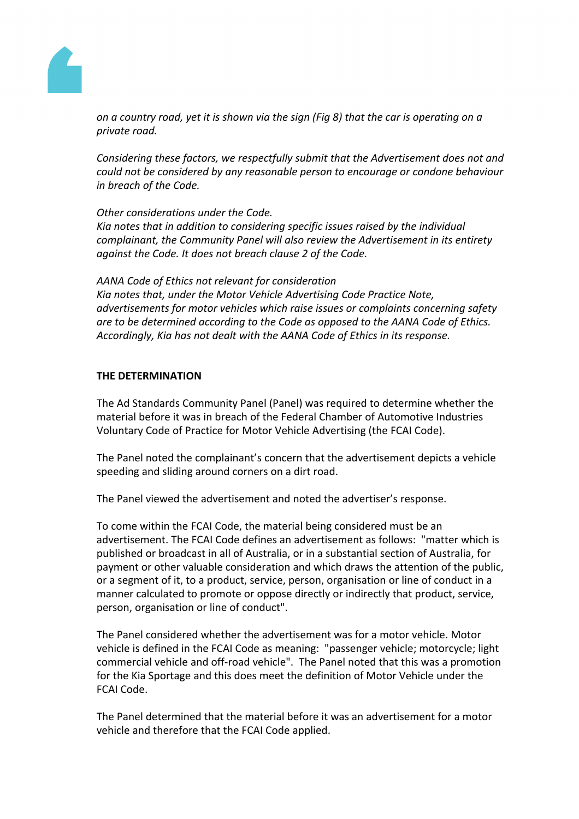

on a country road, yet it is shown via the sign (Fig 8) that the car is operating on a *private road.*

*Considering these factors, we respectfully submit that the Advertisement does not and could not be considered by any reasonable person to encourage or condone behaviour in breach of the Code.* 

*Other considerations under the Code. Kia notes that in addition to considering specific issues raised by the individual complainant, the Community Panel will also review the Advertisement in its entirety against the Code. It does not breach clause 2 of the Code.*

*AANA Code of Ethics not relevant for consideration Kia notes that, under the Motor Vehicle Advertising Code Practice Note, advertisements for motor vehicles which raise issues or complaints concerning safety are to be determined according to the Code as opposed to the AANA Code of Ethics. Accordingly, Kia has not dealt with the AANA Code of Ethics in its response.*

## **THE DETERMINATION**

The Ad Standards Community Panel (Panel) was required to determine whether the material before it was in breach of the Federal Chamber of Automotive Industries Voluntary Code of Practice for Motor Vehicle Advertising (the FCAI Code).

The Panel noted the complainant's concern that the advertisement depicts a vehicle speeding and sliding around corners on a dirt road.

The Panel viewed the advertisement and noted the advertiser's response.

To come within the FCAI Code, the material being considered must be an advertisement. The FCAI Code defines an advertisement as follows: "matter which is published or broadcast in all of Australia, or in a substantial section of Australia, for payment or other valuable consideration and which draws the attention of the public, or a segment of it, to a product, service, person, organisation or line of conduct in a manner calculated to promote or oppose directly or indirectly that product, service, person, organisation or line of conduct".

The Panel considered whether the advertisement was for a motor vehicle. Motor vehicle is defined in the FCAI Code as meaning: "passenger vehicle; motorcycle; light commercial vehicle and off-road vehicle". The Panel noted that this was a promotion for the Kia Sportage and this does meet the definition of Motor Vehicle under the FCAI Code.

The Panel determined that the material before it was an advertisement for a motor vehicle and therefore that the FCAI Code applied.